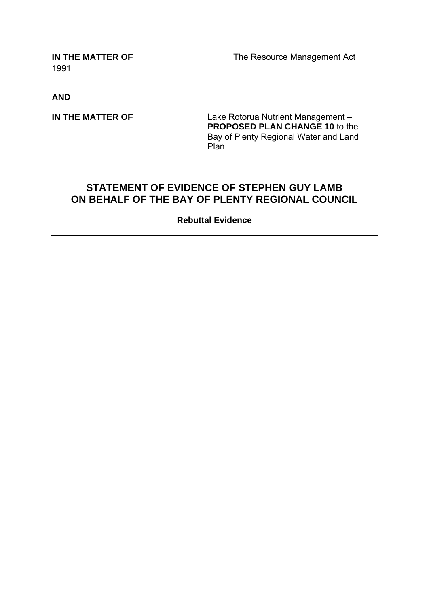1991

**IN THE MATTER OF The Resource Management Act** 

**AND** 

**IN THE MATTER OF Lake Rotorua Nutrient Management – PROPOSED PLAN CHANGE 10** to the Bay of Plenty Regional Water and Land Plan

# **STATEMENT OF EVIDENCE OF STEPHEN GUY LAMB ON BEHALF OF THE BAY OF PLENTY REGIONAL COUNCIL**

**Rebuttal Evidence**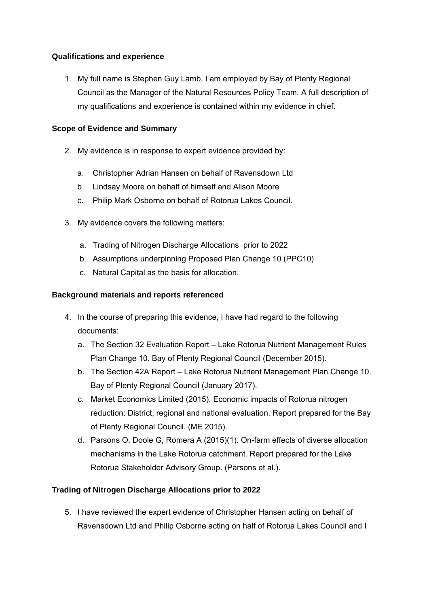# **Qualifications and experience**

1. My full name is Stephen Guy Lamb. I am employed by Bay of Plenty Regional Council as the Manager of the Natural Resources Policy Team. A full description of my qualifications and experience is contained within my evidence in chief.

# **Scope of Evidence and Summary**

- 2. My evidence is in response to expert evidence provided by:
	- a. Christopher Adrian Hansen on behalf of Ravensdown Ltd
	- b. Lindsay Moore on behalf of himself and Alison Moore
	- c. Philip Mark Osborne on behalf of Rotorua Lakes Council.
- 3. My evidence covers the following matters:
	- a. Trading of Nitrogen Discharge Allocations prior to 2022
	- b. Assumptions underpinning Proposed Plan Change 10 (PPC10)
	- c. Natural Capital as the basis for allocation.

## **Background materials and reports referenced**

- 4. In the course of preparing this evidence, I have had regard to the following documents:
	- a. The Section 32 Evaluation Report Lake Rotorua Nutrient Management Rules Plan Change 10. Bay of Plenty Regional Council (December 2015).
	- b. The Section 42A Report Lake Rotorua Nutrient Management Plan Change 10. Bay of Plenty Regional Council (January 2017).
	- c. Market Economics Limited (2015). Economic impacts of Rotorua nitrogen reduction: District, regional and national evaluation. Report prepared for the Bay of Plenty Regional Council. (ME 2015).
	- d. Parsons O, Doole G, Romera A (2015)(1). On-farm effects of diverse allocation mechanisms in the Lake Rotorua catchment. Report prepared for the Lake Rotorua Stakeholder Advisory Group. (Parsons et al.).

# **Trading of Nitrogen Discharge Allocations prior to 2022**

5. I have reviewed the expert evidence of Christopher Hansen acting on behalf of Ravensdown Ltd and Philip Osborne acting on half of Rotorua Lakes Council and I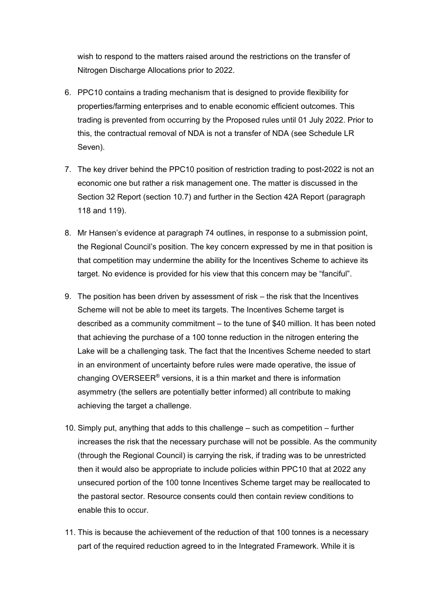wish to respond to the matters raised around the restrictions on the transfer of Nitrogen Discharge Allocations prior to 2022.

- 6. PPC10 contains a trading mechanism that is designed to provide flexibility for properties/farming enterprises and to enable economic efficient outcomes. This trading is prevented from occurring by the Proposed rules until 01 July 2022. Prior to this, the contractual removal of NDA is not a transfer of NDA (see Schedule LR Seven).
- 7. The key driver behind the PPC10 position of restriction trading to post-2022 is not an economic one but rather a risk management one. The matter is discussed in the Section 32 Report (section 10.7) and further in the Section 42A Report (paragraph 118 and 119).
- 8. Mr Hansen's evidence at paragraph 74 outlines, in response to a submission point, the Regional Council's position. The key concern expressed by me in that position is that competition may undermine the ability for the Incentives Scheme to achieve its target. No evidence is provided for his view that this concern may be "fanciful".
- 9. The position has been driven by assessment of risk the risk that the Incentives Scheme will not be able to meet its targets. The Incentives Scheme target is described as a community commitment – to the tune of \$40 million. It has been noted that achieving the purchase of a 100 tonne reduction in the nitrogen entering the Lake will be a challenging task. The fact that the Incentives Scheme needed to start in an environment of uncertainty before rules were made operative, the issue of changing OVERSEER<sup>®</sup> versions, it is a thin market and there is information asymmetry (the sellers are potentially better informed) all contribute to making achieving the target a challenge.
- 10. Simply put, anything that adds to this challenge such as competition further increases the risk that the necessary purchase will not be possible. As the community (through the Regional Council) is carrying the risk, if trading was to be unrestricted then it would also be appropriate to include policies within PPC10 that at 2022 any unsecured portion of the 100 tonne Incentives Scheme target may be reallocated to the pastoral sector. Resource consents could then contain review conditions to enable this to occur.
- 11. This is because the achievement of the reduction of that 100 tonnes is a necessary part of the required reduction agreed to in the Integrated Framework. While it is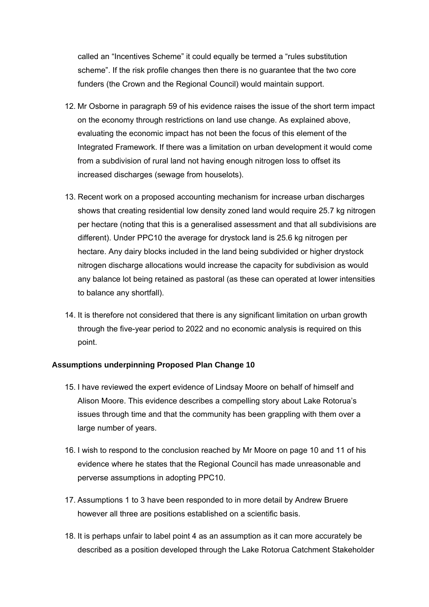called an "Incentives Scheme" it could equally be termed a "rules substitution scheme". If the risk profile changes then there is no guarantee that the two core funders (the Crown and the Regional Council) would maintain support.

- 12. Mr Osborne in paragraph 59 of his evidence raises the issue of the short term impact on the economy through restrictions on land use change. As explained above, evaluating the economic impact has not been the focus of this element of the Integrated Framework. If there was a limitation on urban development it would come from a subdivision of rural land not having enough nitrogen loss to offset its increased discharges (sewage from houselots).
- 13. Recent work on a proposed accounting mechanism for increase urban discharges shows that creating residential low density zoned land would require 25.7 kg nitrogen per hectare (noting that this is a generalised assessment and that all subdivisions are different). Under PPC10 the average for drystock land is 25.6 kg nitrogen per hectare. Any dairy blocks included in the land being subdivided or higher drystock nitrogen discharge allocations would increase the capacity for subdivision as would any balance lot being retained as pastoral (as these can operated at lower intensities to balance any shortfall).
- 14. It is therefore not considered that there is any significant limitation on urban growth through the five-year period to 2022 and no economic analysis is required on this point.

## **Assumptions underpinning Proposed Plan Change 10**

- 15. I have reviewed the expert evidence of Lindsay Moore on behalf of himself and Alison Moore. This evidence describes a compelling story about Lake Rotorua's issues through time and that the community has been grappling with them over a large number of years.
- 16. I wish to respond to the conclusion reached by Mr Moore on page 10 and 11 of his evidence where he states that the Regional Council has made unreasonable and perverse assumptions in adopting PPC10.
- 17. Assumptions 1 to 3 have been responded to in more detail by Andrew Bruere however all three are positions established on a scientific basis.
- 18. It is perhaps unfair to label point 4 as an assumption as it can more accurately be described as a position developed through the Lake Rotorua Catchment Stakeholder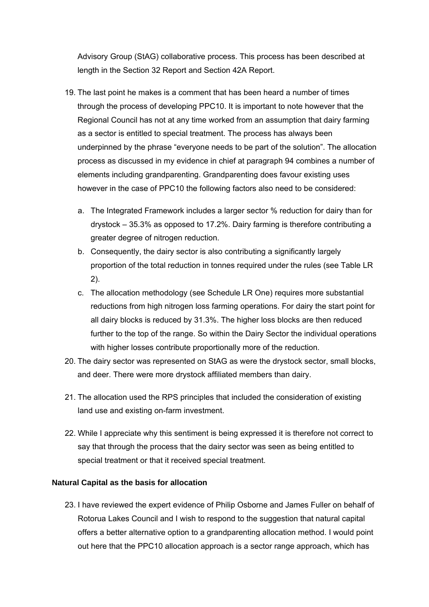Advisory Group (StAG) collaborative process. This process has been described at length in the Section 32 Report and Section 42A Report.

- 19. The last point he makes is a comment that has been heard a number of times through the process of developing PPC10. It is important to note however that the Regional Council has not at any time worked from an assumption that dairy farming as a sector is entitled to special treatment. The process has always been underpinned by the phrase "everyone needs to be part of the solution". The allocation process as discussed in my evidence in chief at paragraph 94 combines a number of elements including grandparenting. Grandparenting does favour existing uses however in the case of PPC10 the following factors also need to be considered:
	- a. The Integrated Framework includes a larger sector % reduction for dairy than for drystock – 35.3% as opposed to 17.2%. Dairy farming is therefore contributing a greater degree of nitrogen reduction.
	- b. Consequently, the dairy sector is also contributing a significantly largely proportion of the total reduction in tonnes required under the rules (see Table LR 2).
	- c. The allocation methodology (see Schedule LR One) requires more substantial reductions from high nitrogen loss farming operations. For dairy the start point for all dairy blocks is reduced by 31.3%. The higher loss blocks are then reduced further to the top of the range. So within the Dairy Sector the individual operations with higher losses contribute proportionally more of the reduction.
- 20. The dairy sector was represented on StAG as were the drystock sector, small blocks, and deer. There were more drystock affiliated members than dairy.
- 21. The allocation used the RPS principles that included the consideration of existing land use and existing on-farm investment.
- 22. While I appreciate why this sentiment is being expressed it is therefore not correct to say that through the process that the dairy sector was seen as being entitled to special treatment or that it received special treatment.

## **Natural Capital as the basis for allocation**

23. I have reviewed the expert evidence of Philip Osborne and James Fuller on behalf of Rotorua Lakes Council and I wish to respond to the suggestion that natural capital offers a better alternative option to a grandparenting allocation method. I would point out here that the PPC10 allocation approach is a sector range approach, which has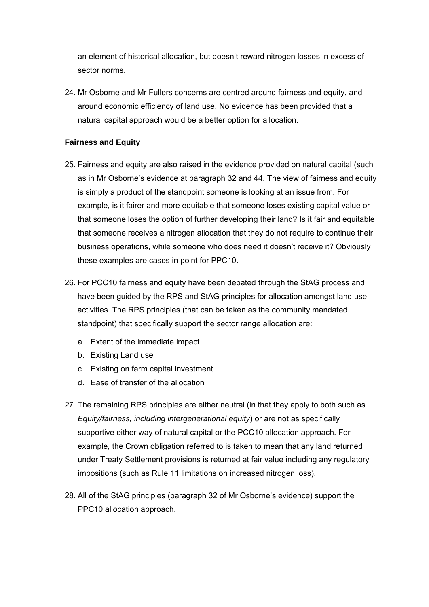an element of historical allocation, but doesn't reward nitrogen losses in excess of sector norms.

24. Mr Osborne and Mr Fullers concerns are centred around fairness and equity, and around economic efficiency of land use. No evidence has been provided that a natural capital approach would be a better option for allocation.

## **Fairness and Equity**

- 25. Fairness and equity are also raised in the evidence provided on natural capital (such as in Mr Osborne's evidence at paragraph 32 and 44. The view of fairness and equity is simply a product of the standpoint someone is looking at an issue from. For example, is it fairer and more equitable that someone loses existing capital value or that someone loses the option of further developing their land? Is it fair and equitable that someone receives a nitrogen allocation that they do not require to continue their business operations, while someone who does need it doesn't receive it? Obviously these examples are cases in point for PPC10.
- 26. For PCC10 fairness and equity have been debated through the StAG process and have been guided by the RPS and StAG principles for allocation amongst land use activities. The RPS principles (that can be taken as the community mandated standpoint) that specifically support the sector range allocation are:
	- a. Extent of the immediate impact
	- b. Existing Land use
	- c. Existing on farm capital investment
	- d. Ease of transfer of the allocation
- 27. The remaining RPS principles are either neutral (in that they apply to both such as *Equity/fairness, including intergenerational equity*) or are not as specifically supportive either way of natural capital or the PCC10 allocation approach. For example, the Crown obligation referred to is taken to mean that any land returned under Treaty Settlement provisions is returned at fair value including any regulatory impositions (such as Rule 11 limitations on increased nitrogen loss).
- 28. All of the StAG principles (paragraph 32 of Mr Osborne's evidence) support the PPC10 allocation approach.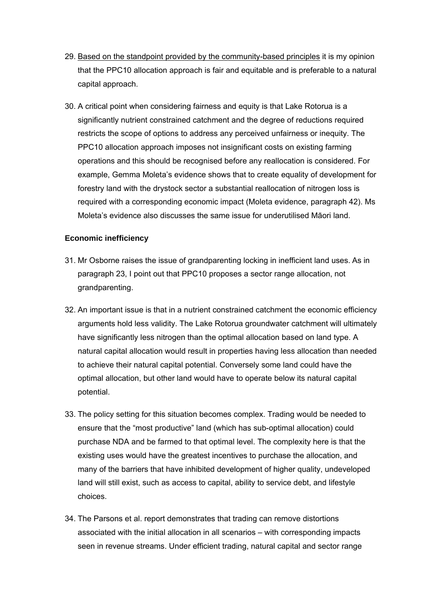- 29. Based on the standpoint provided by the community-based principles it is my opinion that the PPC10 allocation approach is fair and equitable and is preferable to a natural capital approach.
- 30. A critical point when considering fairness and equity is that Lake Rotorua is a significantly nutrient constrained catchment and the degree of reductions required restricts the scope of options to address any perceived unfairness or inequity. The PPC10 allocation approach imposes not insignificant costs on existing farming operations and this should be recognised before any reallocation is considered. For example, Gemma Moleta's evidence shows that to create equality of development for forestry land with the drystock sector a substantial reallocation of nitrogen loss is required with a corresponding economic impact (Moleta evidence, paragraph 42). Ms Moleta's evidence also discusses the same issue for underutilised Māori land.

## **Economic inefficiency**

- 31. Mr Osborne raises the issue of grandparenting locking in inefficient land uses. As in paragraph 23, I point out that PPC10 proposes a sector range allocation, not grandparenting.
- 32. An important issue is that in a nutrient constrained catchment the economic efficiency arguments hold less validity. The Lake Rotorua groundwater catchment will ultimately have significantly less nitrogen than the optimal allocation based on land type. A natural capital allocation would result in properties having less allocation than needed to achieve their natural capital potential. Conversely some land could have the optimal allocation, but other land would have to operate below its natural capital potential.
- 33. The policy setting for this situation becomes complex. Trading would be needed to ensure that the "most productive" land (which has sub-optimal allocation) could purchase NDA and be farmed to that optimal level. The complexity here is that the existing uses would have the greatest incentives to purchase the allocation, and many of the barriers that have inhibited development of higher quality, undeveloped land will still exist, such as access to capital, ability to service debt, and lifestyle choices.
- 34. The Parsons et al. report demonstrates that trading can remove distortions associated with the initial allocation in all scenarios – with corresponding impacts seen in revenue streams. Under efficient trading, natural capital and sector range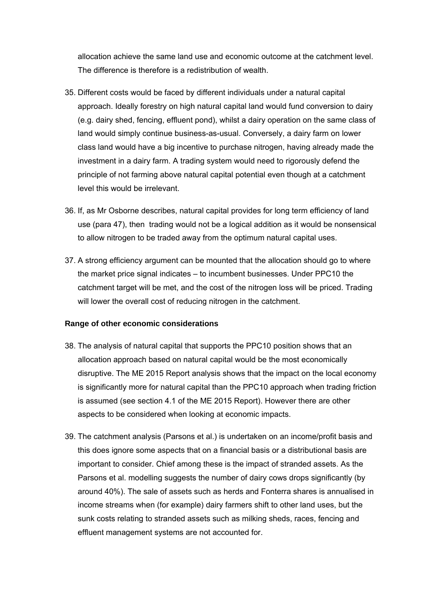allocation achieve the same land use and economic outcome at the catchment level. The difference is therefore is a redistribution of wealth.

- 35. Different costs would be faced by different individuals under a natural capital approach. Ideally forestry on high natural capital land would fund conversion to dairy (e.g. dairy shed, fencing, effluent pond), whilst a dairy operation on the same class of land would simply continue business-as-usual. Conversely, a dairy farm on lower class land would have a big incentive to purchase nitrogen, having already made the investment in a dairy farm. A trading system would need to rigorously defend the principle of not farming above natural capital potential even though at a catchment level this would be irrelevant.
- 36. If, as Mr Osborne describes, natural capital provides for long term efficiency of land use (para 47), then trading would not be a logical addition as it would be nonsensical to allow nitrogen to be traded away from the optimum natural capital uses.
- 37. A strong efficiency argument can be mounted that the allocation should go to where the market price signal indicates – to incumbent businesses. Under PPC10 the catchment target will be met, and the cost of the nitrogen loss will be priced. Trading will lower the overall cost of reducing nitrogen in the catchment.

#### **Range of other economic considerations**

- 38. The analysis of natural capital that supports the PPC10 position shows that an allocation approach based on natural capital would be the most economically disruptive. The ME 2015 Report analysis shows that the impact on the local economy is significantly more for natural capital than the PPC10 approach when trading friction is assumed (see section 4.1 of the ME 2015 Report). However there are other aspects to be considered when looking at economic impacts.
- 39. The catchment analysis (Parsons et al.) is undertaken on an income/profit basis and this does ignore some aspects that on a financial basis or a distributional basis are important to consider. Chief among these is the impact of stranded assets. As the Parsons et al. modelling suggests the number of dairy cows drops significantly (by around 40%). The sale of assets such as herds and Fonterra shares is annualised in income streams when (for example) dairy farmers shift to other land uses, but the sunk costs relating to stranded assets such as milking sheds, races, fencing and effluent management systems are not accounted for.